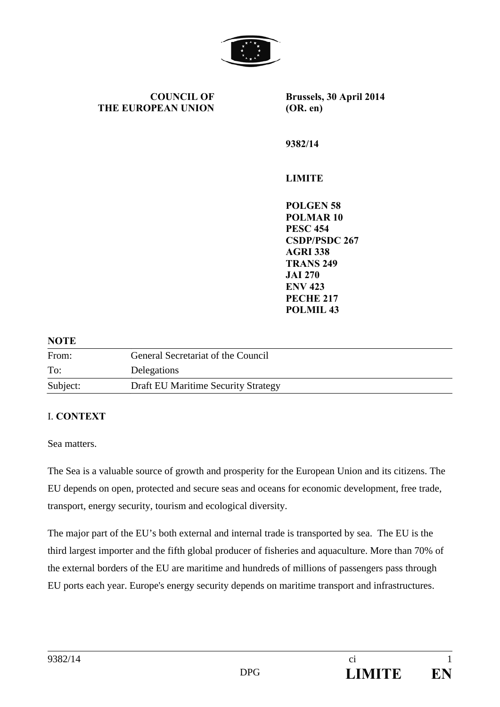

**COUNCIL OF THE EUROPEAN UNION**

**Brussels, 30 April 2014 (OR. en)** 

**9382/14** 

# **LIMITE**

**POLGEN 58 POLMAR 10 PESC 454 CSDP/PSDC 267 AGRI 338 TRANS 249 JAI 270 ENV 423 PECHE 217 POLMIL 43** 

#### **NOTE**

| From:    | General Secretariat of the Council  |
|----------|-------------------------------------|
| To:      | Delegations                         |
| Subject: | Draft EU Maritime Security Strategy |

#### I. **CΟΝΤΕΧΤ**

Sea matters.

The Sea is a valuable source of growth and prosperity for the European Union and its citizens. The EU depends on open, protected and secure seas and oceans for economic development, free trade, transport, energy security, tourism and ecological diversity.

The major part of the EU's both external and internal trade is transported by sea. The EU is the third largest importer and the fifth global producer of fisheries and aquaculture. More than 70% of the external borders of the EU are maritime and hundreds of millions of passengers pass through EU ports each year. Europe's energy security depends on maritime transport and infrastructures.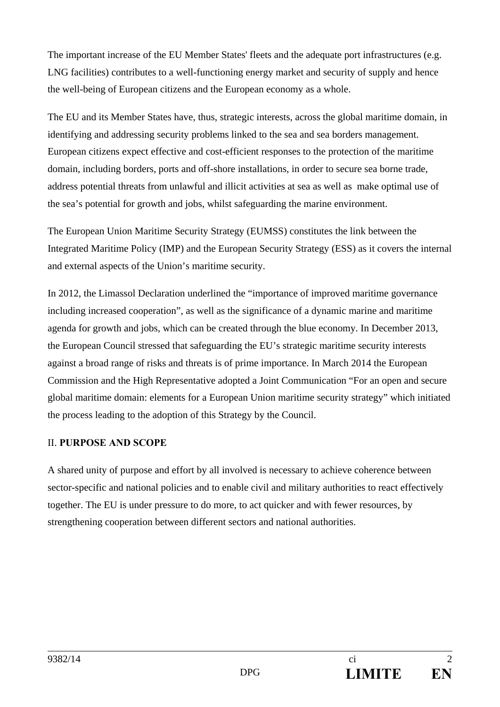The important increase of the EU Member States' fleets and the adequate port infrastructures (e.g. LNG facilities) contributes to a well-functioning energy market and security of supply and hence the well-being of European citizens and the European economy as a whole.

The EU and its Member States have, thus, strategic interests, across the global maritime domain, in identifying and addressing security problems linked to the sea and sea borders management. European citizens expect effective and cost-efficient responses to the protection of the maritime domain, including borders, ports and off-shore installations, in order to secure sea borne trade, address potential threats from unlawful and illicit activities at sea as well as make optimal use of the sea's potential for growth and jobs, whilst safeguarding the marine environment.

The European Union Maritime Security Strategy (EUMSS) constitutes the link between the Integrated Maritime Policy (IMP) and the European Security Strategy (ESS) as it covers the internal and external aspects of the Union's maritime security.

In 2012, the Limassol Declaration underlined the "importance of improved maritime governance including increased cooperation", as well as the significance of a dynamic marine and maritime agenda for growth and jobs, which can be created through the blue economy. In December 2013, the European Council stressed that safeguarding the EU's strategic maritime security interests against a broad range of risks and threats is of prime importance. In March 2014 the European Commission and the High Representative adopted a Joint Communication "For an open and secure global maritime domain: elements for a European Union maritime security strategy" which initiated the process leading to the adoption of this Strategy by the Council.

#### II. **PURPOSE AND SCOPE**

A shared unity of purpose and effort by all involved is necessary to achieve coherence between sector-specific and national policies and to enable civil and military authorities to react effectively together. The EU is under pressure to do more, to act quicker and with fewer resources, by strengthening cooperation between different sectors and national authorities.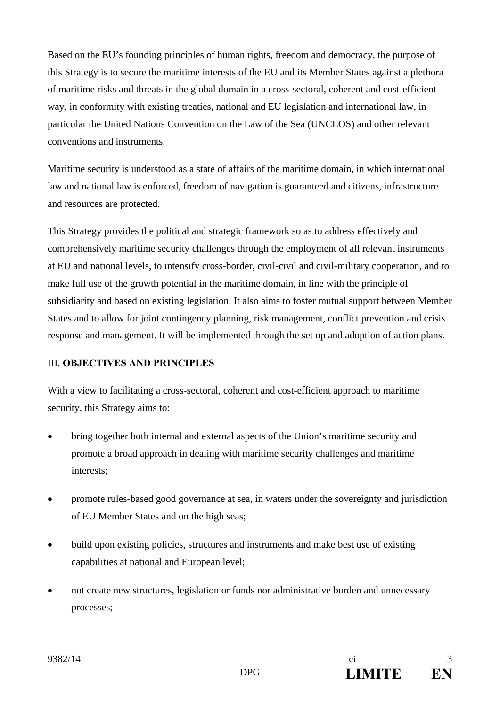Based on the EU's founding principles of human rights, freedom and democracy, the purpose of this Strategy is to secure the maritime interests of the EU and its Member States against a plethora of maritime risks and threats in the global domain in a cross-sectoral, coherent and cost-efficient way, in conformity with existing treaties, national and EU legislation and international law, in particular the United Nations Convention on the Law of the Sea (UNCLOS) and other relevant conventions and instruments.

Maritime security is understood as a state of affairs of the maritime domain, in which international law and national law is enforced, freedom of navigation is guaranteed and citizens, infrastructure and resources are protected.

This Strategy provides the political and strategic framework so as to address effectively and comprehensively maritime security challenges through the employment of all relevant instruments at EU and national levels, to intensify cross-border, civil-civil and civil-military cooperation, and to make full use of the growth potential in the maritime domain, in line with the principle of subsidiarity and based on existing legislation. It also aims to foster mutual support between Member States and to allow for joint contingency planning, risk management, conflict prevention and crisis response and management. It will be implemented through the set up and adoption of action plans.

# III. **OBJECTIVES AND PRINCIPLES**

With a view to facilitating a cross-sectoral, coherent and cost-efficient approach to maritime security, this Strategy aims to:

- bring together both internal and external aspects of the Union's maritime security and promote a broad approach in dealing with maritime security challenges and maritime interests;
- promote rules-based good governance at sea, in waters under the sovereignty and jurisdiction of EU Member States and on the high seas;
- build upon existing policies, structures and instruments and make best use of existing capabilities at national and European level;
- not create new structures, legislation or funds nor administrative burden and unnecessary processes;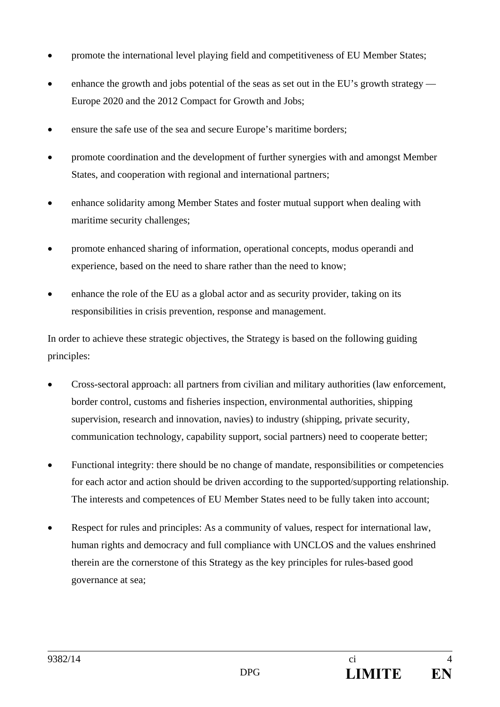- promote the international level playing field and competitiveness of EU Member States;
- enhance the growth and jobs potential of the seas as set out in the EU's growth strategy Europe 2020 and the 2012 Compact for Growth and Jobs;
- ensure the safe use of the sea and secure Europe's maritime borders;
- promote coordination and the development of further synergies with and amongst Member States, and cooperation with regional and international partners;
- enhance solidarity among Member States and foster mutual support when dealing with maritime security challenges;
- promote enhanced sharing of information, operational concepts, modus operandi and experience, based on the need to share rather than the need to know;
- enhance the role of the EU as a global actor and as security provider, taking on its responsibilities in crisis prevention, response and management.

In order to achieve these strategic objectives, the Strategy is based on the following guiding principles:

- Cross-sectoral approach: all partners from civilian and military authorities (law enforcement, border control, customs and fisheries inspection, environmental authorities, shipping supervision, research and innovation, navies) to industry (shipping, private security, communication technology, capability support, social partners) need to cooperate better;
- Functional integrity: there should be no change of mandate, responsibilities or competencies for each actor and action should be driven according to the supported/supporting relationship. The interests and competences of EU Member States need to be fully taken into account;
- Respect for rules and principles: As a community of values, respect for international law, human rights and democracy and full compliance with UNCLOS and the values enshrined therein are the cornerstone of this Strategy as the key principles for rules-based good governance at sea;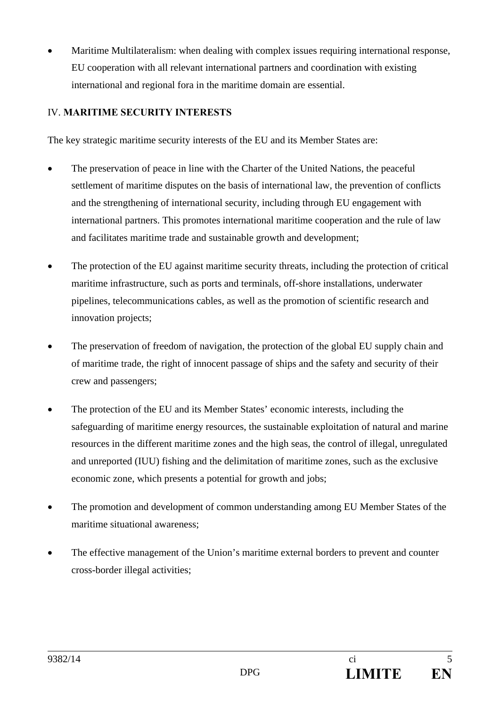Maritime Multilateralism: when dealing with complex issues requiring international response, EU cooperation with all relevant international partners and coordination with existing international and regional fora in the maritime domain are essential.

# IV. **MARITIME SECURITY INTERESTS**

The key strategic maritime security interests of the EU and its Member States are:

- The preservation of peace in line with the Charter of the United Nations, the peaceful settlement of maritime disputes on the basis of international law, the prevention of conflicts and the strengthening of international security, including through EU engagement with international partners. This promotes international maritime cooperation and the rule of law and facilitates maritime trade and sustainable growth and development;
- The protection of the EU against maritime security threats, including the protection of critical maritime infrastructure, such as ports and terminals, off-shore installations, underwater pipelines, telecommunications cables, as well as the promotion of scientific research and innovation projects;
- The preservation of freedom of navigation, the protection of the global EU supply chain and of maritime trade, the right of innocent passage of ships and the safety and security of their crew and passengers;
- The protection of the EU and its Member States' economic interests, including the safeguarding of maritime energy resources, the sustainable exploitation of natural and marine resources in the different maritime zones and the high seas, the control of illegal, unregulated and unreported (IUU) fishing and the delimitation of maritime zones, such as the exclusive economic zone, which presents a potential for growth and jobs;
- The promotion and development of common understanding among EU Member States of the maritime situational awareness;
- The effective management of the Union's maritime external borders to prevent and counter cross-border illegal activities;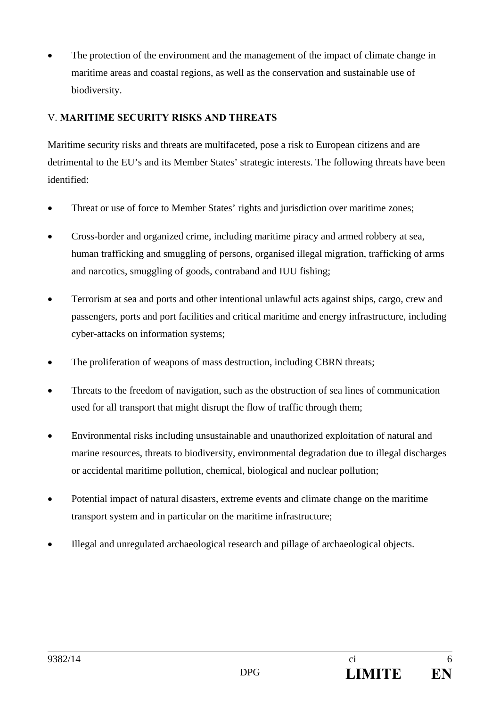The protection of the environment and the management of the impact of climate change in maritime areas and coastal regions, as well as the conservation and sustainable use of biodiversity.

### V. **MARITIME SECURITY RISKS AND THREATS**

Maritime security risks and threats are multifaceted, pose a risk to European citizens and are detrimental to the EU's and its Member States' strategic interests. The following threats have been identified:

- Threat or use of force to Member States' rights and jurisdiction over maritime zones;
- Cross-border and organized crime, including maritime piracy and armed robbery at sea, human trafficking and smuggling of persons, organised illegal migration, trafficking of arms and narcotics, smuggling of goods, contraband and IUU fishing;
- Terrorism at sea and ports and other intentional unlawful acts against ships, cargo, crew and passengers, ports and port facilities and critical maritime and energy infrastructure, including cyber-attacks on information systems;
- The proliferation of weapons of mass destruction, including CBRN threats;
- Threats to the freedom of navigation, such as the obstruction of sea lines of communication used for all transport that might disrupt the flow of traffic through them;
- Environmental risks including unsustainable and unauthorized exploitation of natural and marine resources, threats to biodiversity, environmental degradation due to illegal discharges or accidental maritime pollution, chemical, biological and nuclear pollution;
- Potential impact of natural disasters, extreme events and climate change on the maritime transport system and in particular on the maritime infrastructure;
- Illegal and unregulated archaeological research and pillage of archaeological objects.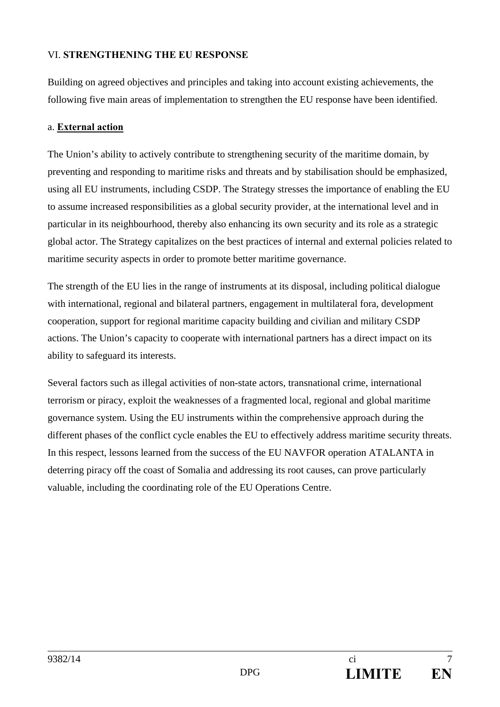### VI. **STRENGTHENING THE EU RESPONSE**

Building on agreed objectives and principles and taking into account existing achievements, the following five main areas of implementation to strengthen the EU response have been identified.

#### a. **External action**

The Union's ability to actively contribute to strengthening security of the maritime domain, by preventing and responding to maritime risks and threats and by stabilisation should be emphasized, using all EU instruments, including CSDP. The Strategy stresses the importance of enabling the EU to assume increased responsibilities as a global security provider, at the international level and in particular in its neighbourhood, thereby also enhancing its own security and its role as a strategic global actor. The Strategy capitalizes on the best practices of internal and external policies related to maritime security aspects in order to promote better maritime governance.

The strength of the EU lies in the range of instruments at its disposal, including political dialogue with international, regional and bilateral partners, engagement in multilateral fora, development cooperation, support for regional maritime capacity building and civilian and military CSDP actions. The Union's capacity to cooperate with international partners has a direct impact on its ability to safeguard its interests.

Several factors such as illegal activities of non-state actors, transnational crime, international terrorism or piracy, exploit the weaknesses of a fragmented local, regional and global maritime governance system. Using the EU instruments within the comprehensive approach during the different phases of the conflict cycle enables the EU to effectively address maritime security threats. In this respect, lessons learned from the success of the EU NAVFOR operation ATALANTA in deterring piracy off the coast of Somalia and addressing its root causes, can prove particularly valuable, including the coordinating role of the EU Operations Centre.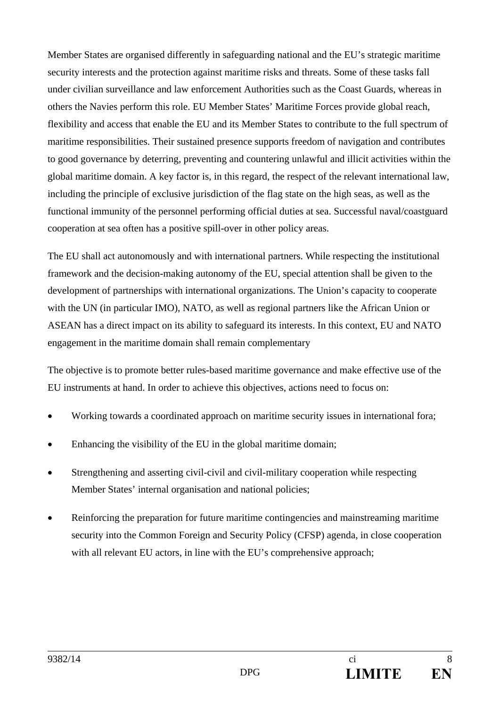Member States are organised differently in safeguarding national and the EU's strategic maritime security interests and the protection against maritime risks and threats. Some of these tasks fall under civilian surveillance and law enforcement Authorities such as the Coast Guards, whereas in others the Navies perform this role. EU Member States' Maritime Forces provide global reach, flexibility and access that enable the EU and its Member States to contribute to the full spectrum of maritime responsibilities. Their sustained presence supports freedom of navigation and contributes to good governance by deterring, preventing and countering unlawful and illicit activities within the global maritime domain. A key factor is, in this regard, the respect of the relevant international law, including the principle of exclusive jurisdiction of the flag state on the high seas, as well as the functional immunity of the personnel performing official duties at sea. Successful naval/coastguard cooperation at sea often has a positive spill-over in other policy areas.

The EU shall act autonomously and with international partners. While respecting the institutional framework and the decision-making autonomy of the EU, special attention shall be given to the development of partnerships with international organizations. The Union's capacity to cooperate with the UN (in particular IMO), NATO, as well as regional partners like the African Union or ASEAN has a direct impact on its ability to safeguard its interests. In this context, EU and NATO engagement in the maritime domain shall remain complementary

The objective is to promote better rules-based maritime governance and make effective use of the EU instruments at hand. In order to achieve this objectives, actions need to focus on:

- Working towards a coordinated approach on maritime security issues in international fora;
- Enhancing the visibility of the EU in the global maritime domain;
- Strengthening and asserting civil-civil and civil-military cooperation while respecting Member States' internal organisation and national policies;
- Reinforcing the preparation for future maritime contingencies and mainstreaming maritime security into the Common Foreign and Security Policy (CFSP) agenda, in close cooperation with all relevant EU actors, in line with the EU's comprehensive approach;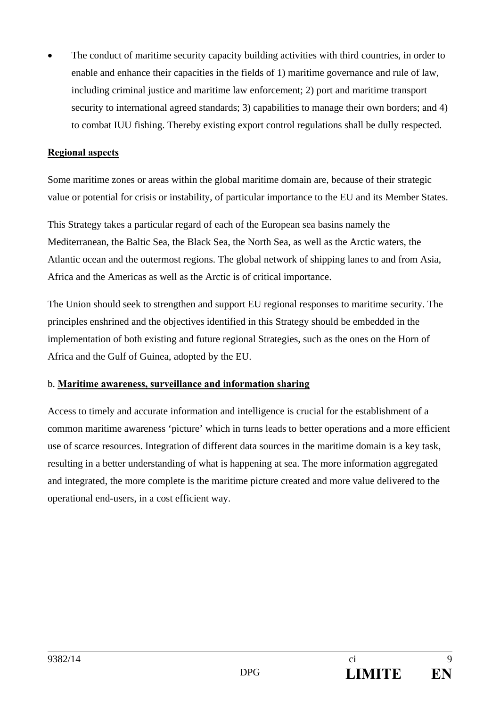The conduct of maritime security capacity building activities with third countries, in order to enable and enhance their capacities in the fields of 1) maritime governance and rule of law, including criminal justice and maritime law enforcement; 2) port and maritime transport security to international agreed standards; 3) capabilities to manage their own borders; and 4) to combat IUU fishing. Thereby existing export control regulations shall be dully respected.

#### **Regional aspects**

Some maritime zones or areas within the global maritime domain are, because of their strategic value or potential for crisis or instability, of particular importance to the EU and its Member States.

This Strategy takes a particular regard of each of the European sea basins namely the Mediterranean, the Baltic Sea, the Black Sea, the North Sea, as well as the Arctic waters, the Atlantic ocean and the outermost regions. The global network of shipping lanes to and from Asia, Africa and the Americas as well as the Arctic is of critical importance.

The Union should seek to strengthen and support EU regional responses to maritime security. The principles enshrined and the objectives identified in this Strategy should be embedded in the implementation of both existing and future regional Strategies, such as the ones on the Horn of Africa and the Gulf of Guinea, adopted by the EU.

#### b. **Maritime awareness, surveillance and information sharing**

Access to timely and accurate information and intelligence is crucial for the establishment of a common maritime awareness 'picture' which in turns leads to better operations and a more efficient use of scarce resources. Integration of different data sources in the maritime domain is a key task, resulting in a better understanding of what is happening at sea. The more information aggregated and integrated, the more complete is the maritime picture created and more value delivered to the operational end-users, in a cost efficient way.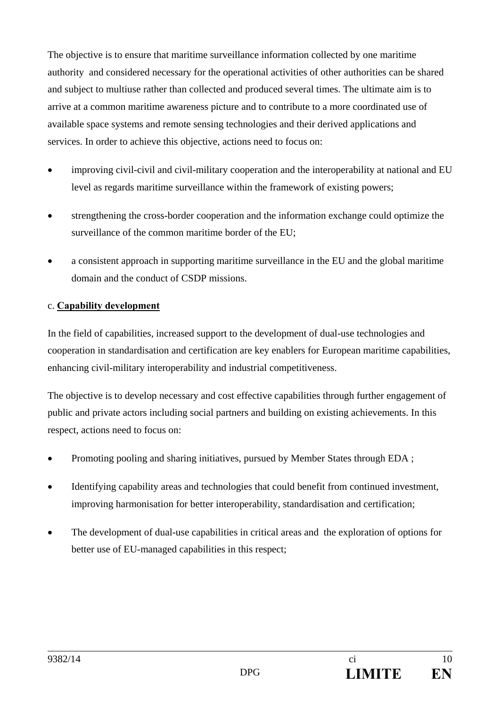The objective is to ensure that maritime surveillance information collected by one maritime authority and considered necessary for the operational activities of other authorities can be shared and subject to multiuse rather than collected and produced several times. The ultimate aim is to arrive at a common maritime awareness picture and to contribute to a more coordinated use of available space systems and remote sensing technologies and their derived applications and services. In order to achieve this objective, actions need to focus on:

- improving civil-civil and civil-military cooperation and the interoperability at national and EU level as regards maritime surveillance within the framework of existing powers;
- strengthening the cross-border cooperation and the information exchange could optimize the surveillance of the common maritime border of the EU;
- a consistent approach in supporting maritime surveillance in the EU and the global maritime domain and the conduct of CSDP missions.

#### c. **Capability development**

In the field of capabilities, increased support to the development of dual-use technologies and cooperation in standardisation and certification are key enablers for European maritime capabilities, enhancing civil-military interoperability and industrial competitiveness.

The objective is to develop necessary and cost effective capabilities through further engagement of public and private actors including social partners and building on existing achievements. In this respect, actions need to focus on:

- Promoting pooling and sharing initiatives, pursued by Member States through EDA ;
- Identifying capability areas and technologies that could benefit from continued investment, improving harmonisation for better interoperability, standardisation and certification;
- The development of dual-use capabilities in critical areas and the exploration of options for better use of EU-managed capabilities in this respect;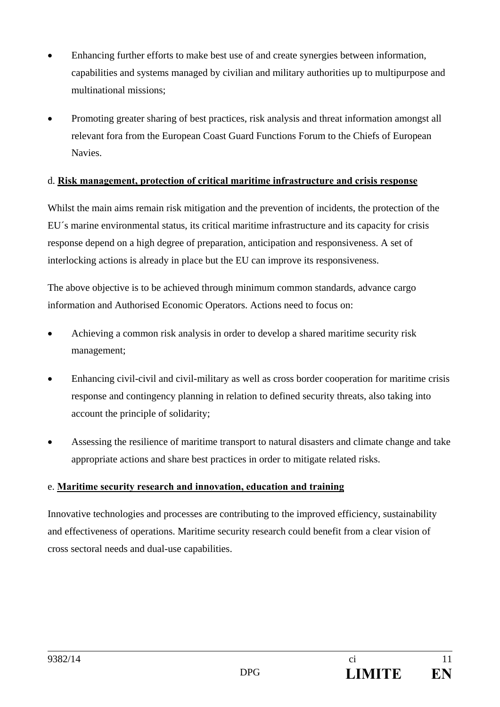- Enhancing further efforts to make best use of and create synergies between information, capabilities and systems managed by civilian and military authorities up to multipurpose and multinational missions;
- Promoting greater sharing of best practices, risk analysis and threat information amongst all relevant fora from the European Coast Guard Functions Forum to the Chiefs of European **Navies**

### d. **Risk management, protection of critical maritime infrastructure and crisis response**

Whilst the main aims remain risk mitigation and the prevention of incidents, the protection of the EU´s marine environmental status, its critical maritime infrastructure and its capacity for crisis response depend on a high degree of preparation, anticipation and responsiveness. A set of interlocking actions is already in place but the EU can improve its responsiveness.

The above objective is to be achieved through minimum common standards, advance cargo information and Authorised Economic Operators. Actions need to focus on:

- Achieving a common risk analysis in order to develop a shared maritime security risk management;
- Enhancing civil-civil and civil-military as well as cross border cooperation for maritime crisis response and contingency planning in relation to defined security threats, also taking into account the principle of solidarity;
- Assessing the resilience of maritime transport to natural disasters and climate change and take appropriate actions and share best practices in order to mitigate related risks.

#### e. **Maritime security research and innovation, education and training**

Innovative technologies and processes are contributing to the improved efficiency, sustainability and effectiveness of operations. Maritime security research could benefit from a clear vision of cross sectoral needs and dual-use capabilities.